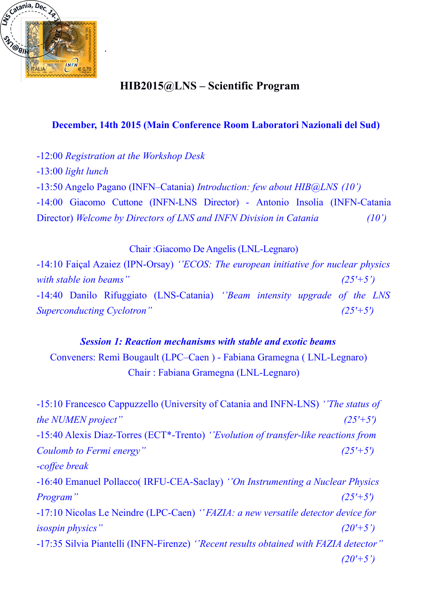

.

# **HIB2015@LNS – Scientific Program**

## **December, 14th 2015 (Main Conference Room Laboratori Nazionali del Sud)**

-12:00 *Registration at the Workshop Desk* -13:00 *light lunch* -13:50 Angelo Pagano (INFN–Catania) *Introduction: few about HIB@LNS (10')* -14:00 Giacomo Cuttone (INFN-LNS Director) - Antonio Insolia (INFN-Catania Director) *Welcome by Directors of LNS and INFN Division in Catania (10')*

### Chair :Giacomo De Angelis (LNL-Legnaro)

-14:10 Faiçal Azaiez (IPN-Orsay) *''ECOS: The european initiative for nuclear physics with stable ion beams'' (25'+5')* -14:40 Danilo Rifuggiato (LNS-Catania) *''Beam intensity upgrade of the LNS Superconducting Cyclotron'' (25'+5')*

## *Session 1: Reaction mechanisms with stable and exotic beams*

Conveners: Remì Bougault (LPC–Caen ) - Fabiana Gramegna ( LNL-Legnaro) Chair : Fabiana Gramegna (LNL-Legnaro)

-15:10 Francesco Cappuzzello (University of Catania and INFN-LNS) *''The status of the NUMEN project'' (25'+5')* -15:40 Alexis Diaz-Torres (ECT\*-Trento) *''Evolution of transfer-like reactions from Coulomb to Fermi energy'' (25'+5')* -*coffee break* -16:40 Emanuel Pollacco( IRFU-CEA-Saclay) *''On Instrumenting a Nuclear Physics Program'' (25'+5')* -17:10 Nicolas Le Neindre (LPC-Caen) *'' FAZIA: a new versatile detector device for isospin physics'' (20'+5')* -17:35 Silvia Piantelli (INFN-Firenze) *''Recent results obtained with FAZIA detector'' (20'+5')*